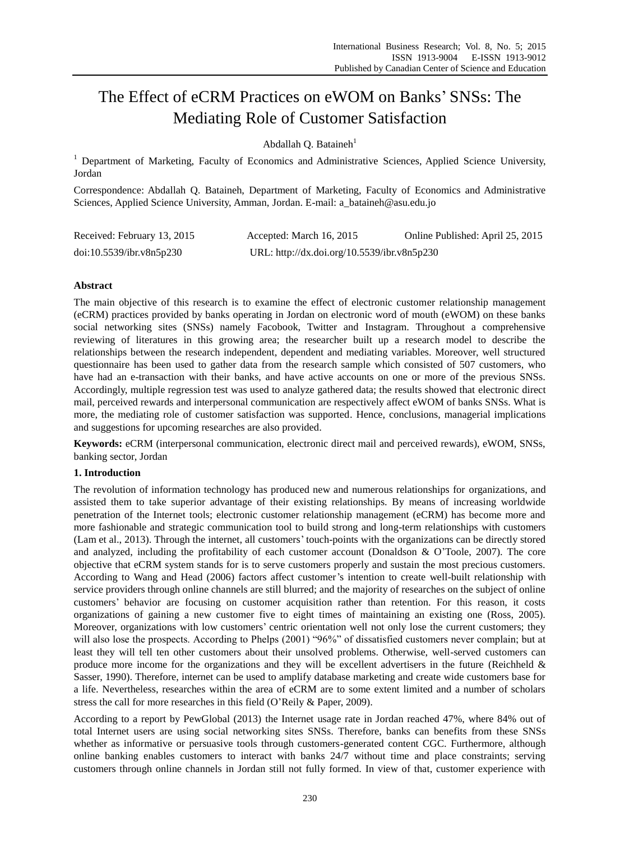# The Effect of eCRM Practices on eWOM on Banks' SNSs: The Mediating Role of Customer Satisfaction

Abdallah Q. Bataineh $1$ 

 $<sup>1</sup>$  Department of Marketing, Faculty of Economics and Administrative Sciences, Applied Science University,</sup> Jordan

Correspondence: Abdallah Q. Bataineh, Department of Marketing, Faculty of Economics and Administrative Sciences, Applied Science University, Amman, Jordan. E-mail: a\_bataineh@asu.edu.jo

| Received: February 13, 2015 | Accepted: March 16, 2015                    | Online Published: April 25, 2015 |
|-----------------------------|---------------------------------------------|----------------------------------|
| doi:10.5539/ibr.v8n5p230    | URL: http://dx.doi.org/10.5539/ibr.v8n5p230 |                                  |

# **Abstract**

The main objective of this research is to examine the effect of electronic customer relationship management (eCRM) practices provided by banks operating in Jordan on electronic word of mouth (eWOM) on these banks social networking sites (SNSs) namely Facobook, Twitter and Instagram. Throughout a comprehensive reviewing of literatures in this growing area; the researcher built up a research model to describe the relationships between the research independent, dependent and mediating variables. Moreover, well structured questionnaire has been used to gather data from the research sample which consisted of 507 customers, who have had an e-transaction with their banks, and have active accounts on one or more of the previous SNSs. Accordingly, multiple regression test was used to analyze gathered data; the results showed that electronic direct mail, perceived rewards and interpersonal communication are respectively affect eWOM of banks SNSs. What is more, the mediating role of customer satisfaction was supported. Hence, conclusions, managerial implications and suggestions for upcoming researches are also provided.

**Keywords:** eCRM (interpersonal communication, electronic direct mail and perceived rewards), eWOM, SNSs, banking sector, Jordan

# **1. Introduction**

The revolution of information technology has produced new and numerous relationships for organizations, and assisted them to take superior advantage of their existing relationships. By means of increasing worldwide penetration of the Internet tools; electronic customer relationship management (eCRM) has become more and more fashionable and strategic communication tool to build strong and long-term relationships with customers (Lam et al., 2013). Through the internet, all customers' touch-points with the organizations can be directly stored and analyzed, including the profitability of each customer account (Donaldson & O'Toole, 2007). The core objective that eCRM system stands for is to serve customers properly and sustain the most precious customers. According to Wang and Head (2006) factors affect customer's intention to create well-built relationship with service providers through online channels are still blurred; and the majority of researches on the subject of online customers' behavior are focusing on customer acquisition rather than retention. For this reason, it costs organizations of gaining a new customer five to eight times of maintaining an existing one (Ross, 2005). Moreover, organizations with low customers' centric orientation well not only lose the current customers; they will also lose the prospects. According to Phelps (2001) "96%" of dissatisfied customers never complain; but at least they will tell ten other customers about their unsolved problems. Otherwise, well-served customers can produce more income for the organizations and they will be excellent advertisers in the future (Reichheld  $\&$ Sasser, 1990). Therefore, internet can be used to amplify database marketing and create wide customers base for a life. Nevertheless, researches within the area of eCRM are to some extent limited and a number of scholars stress the call for more researches in this field (O'Reily & Paper, 2009).

According to a report by PewGlobal (2013) the Internet usage rate in Jordan reached 47%, where 84% out of total Internet users are using social networking sites SNSs. Therefore, banks can benefits from these SNSs whether as informative or persuasive tools through customers-generated content CGC. Furthermore, although online banking enables customers to interact with banks 24/7 without time and place constraints; serving customers through online channels in Jordan still not fully formed. In view of that, customer experience with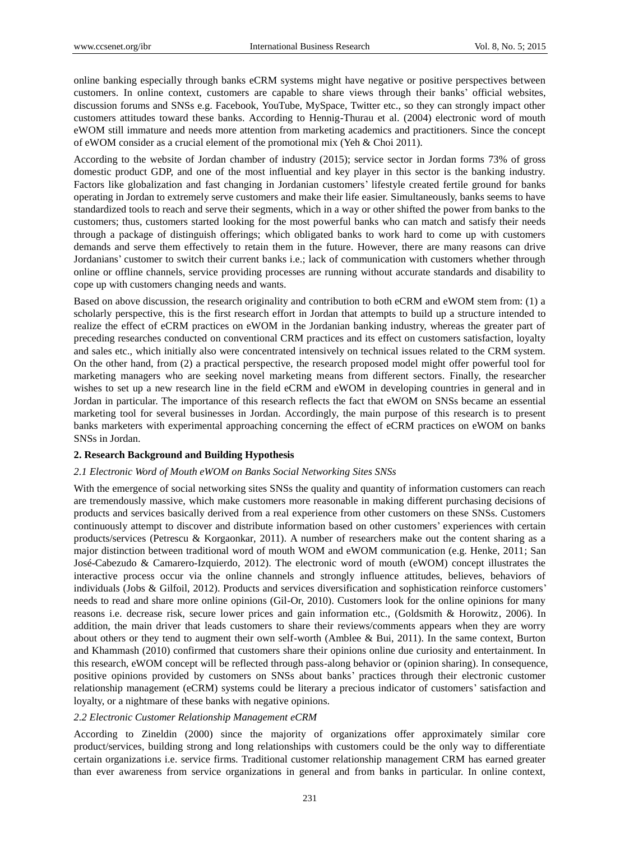online banking especially through banks eCRM systems might have negative or positive perspectives between customers. In online context, customers are capable to share views through their banks' official websites, discussion forums and SNSs e.g. Facebook, YouTube, MySpace, Twitter etc., so they can strongly impact other customers attitudes toward these banks. According to Hennig-Thurau et al. (2004) electronic word of mouth eWOM still immature and needs more attention from marketing academics and practitioners. Since the concept of eWOM consider as a crucial element of the promotional mix (Yeh & Choi 2011).

According to the website of Jordan chamber of industry (2015); service sector in Jordan forms 73% of gross domestic product GDP, and one of the most influential and key player in this sector is the banking industry. Factors like globalization and fast changing in Jordanian customers' lifestyle created fertile ground for banks operating in Jordan to extremely serve customers and make their life easier. Simultaneously, banks seems to have standardized tools to reach and serve their segments, which in a way or other shifted the power from banks to the customers; thus, customers started looking for the most powerful banks who can match and satisfy their needs through a package of distinguish offerings; which obligated banks to work hard to come up with customers demands and serve them effectively to retain them in the future. However, there are many reasons can drive Jordanians' customer to switch their current banks i.e.; lack of communication with customers whether through online or offline channels, service providing processes are running without accurate standards and disability to cope up with customers changing needs and wants.

Based on above discussion, the research originality and contribution to both eCRM and eWOM stem from: (1) a scholarly perspective, this is the first research effort in Jordan that attempts to build up a structure intended to realize the effect of eCRM practices on eWOM in the Jordanian banking industry, whereas the greater part of preceding researches conducted on conventional CRM practices and its effect on customers satisfaction, loyalty and sales etc., which initially also were concentrated intensively on technical issues related to the CRM system. On the other hand, from (2) a practical perspective, the research proposed model might offer powerful tool for marketing managers who are seeking novel marketing means from different sectors. Finally, the researcher wishes to set up a new research line in the field eCRM and eWOM in developing countries in general and in Jordan in particular. The importance of this research reflects the fact that eWOM on SNSs became an essential marketing tool for several businesses in Jordan. Accordingly, the main purpose of this research is to present banks marketers with experimental approaching concerning the effect of eCRM practices on eWOM on banks SNSs in Jordan.

## **2. Research Background and Building Hypothesis**

## *2.1 Electronic Word of Mouth eWOM on Banks Social Networking Sites SNSs*

With the emergence of social networking sites SNSs the quality and quantity of information customers can reach are tremendously massive, which make customers more reasonable in making different purchasing decisions of products and services basically derived from a real experience from other customers on these SNSs. Customers continuously attempt to discover and distribute information based on other customers' experiences with certain products/services (Petrescu & Korgaonkar, 2011). A number of researchers make out the content sharing as a major distinction between traditional word of mouth WOM and eWOM communication (e.g. Henke, 2011; San José-Cabezudo & Camarero-Izquierdo, 2012). The electronic word of mouth (eWOM) concept illustrates the interactive process occur via the online channels and strongly influence attitudes, believes, behaviors of individuals (Jobs & Gilfoil, 2012). Products and services diversification and sophistication reinforce customers' needs to read and share more online opinions (Gil-Or, 2010). Customers look for the online opinions for many reasons i.e. decrease risk, secure lower prices and gain information etc., (Goldsmith & Horowitz, 2006). In addition, the main driver that leads customers to share their reviews/comments appears when they are worry about others or they tend to augment their own self-worth (Amblee & Bui, 2011). In the same context, Burton and Khammash (2010) confirmed that customers share their opinions online due curiosity and entertainment. In this research, eWOM concept will be reflected through pass-along behavior or (opinion sharing). In consequence, positive opinions provided by customers on SNSs about banks' practices through their electronic customer relationship management (eCRM) systems could be literary a precious indicator of customers' satisfaction and loyalty, or a nightmare of these banks with negative opinions.

## *2.2 Electronic Customer Relationship Management eCRM*

According to Zineldin (2000) since the majority of organizations offer approximately similar core product/services, building strong and long relationships with customers could be the only way to differentiate certain organizations i.e. service firms. Traditional customer relationship management CRM has earned greater than ever awareness from service organizations in general and from banks in particular. In online context,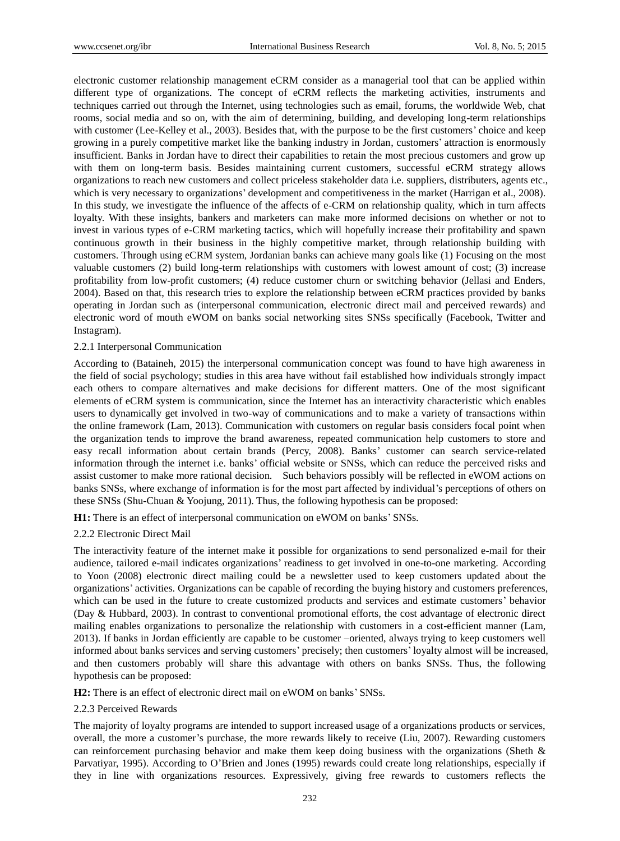electronic customer relationship management eCRM consider as a managerial tool that can be applied within different type of organizations. The concept of eCRM reflects the marketing activities, instruments and techniques carried out through the Internet, using technologies such as email, forums, the worldwide Web, chat rooms, social media and so on, with the aim of determining, building, and developing long-term relationships with customer (Lee-Kelley et al., 2003). Besides that, with the purpose to be the first customers' choice and keep growing in a purely competitive market like the banking industry in Jordan, customers' attraction is enormously insufficient. Banks in Jordan have to direct their capabilities to retain the most precious customers and grow up with them on long-term basis. Besides maintaining current customers, successful eCRM strategy allows organizations to reach new customers and collect priceless stakeholder data i.e. suppliers, distributers, agents etc., which is very necessary to organizations' development and competitiveness in the market (Harrigan et al., 2008). In this study, we investigate the influence of the affects of e-CRM on relationship quality, which in turn affects loyalty. With these insights, bankers and marketers can make more informed decisions on whether or not to invest in various types of e-CRM marketing tactics, which will hopefully increase their profitability and spawn continuous growth in their business in the highly competitive market, through relationship building with customers. Through using eCRM system, Jordanian banks can achieve many goals like (1) Focusing on the most valuable customers (2) build long-term relationships with customers with lowest amount of cost; (3) increase profitability from low-profit customers; (4) reduce customer churn or switching behavior (Jellasi and Enders, 2004). Based on that, this research tries to explore the relationship between eCRM practices provided by banks operating in Jordan such as (interpersonal communication, electronic direct mail and perceived rewards) and electronic word of mouth eWOM on banks social networking sites SNSs specifically (Facebook, Twitter and Instagram).

## 2.2.1 Interpersonal Communication

According to (Bataineh, 2015) the interpersonal communication concept was found to have high awareness in the field of social psychology; studies in this area have without fail established how individuals strongly impact each others to compare alternatives and make decisions for different matters. One of the most significant elements of eCRM system is communication, since the Internet has an interactivity characteristic which enables users to dynamically get involved in two-way of communications and to make a variety of transactions within the online framework (Lam, 2013). Communication with customers on regular basis considers focal point when the organization tends to improve the brand awareness, repeated communication help customers to store and easy recall information about certain brands (Percy, 2008). Banks' customer can search service-related information through the internet i.e. banks' official website or SNSs, which can reduce the perceived risks and assist customer to make more rational decision. Such behaviors possibly will be reflected in eWOM actions on banks SNSs, where exchange of information is for the most part affected by individual's perceptions of others on these SNSs (Shu-Chuan & Yoojung, 2011). Thus, the following hypothesis can be proposed:

**H1:** There is an effect of interpersonal communication on eWOM on banks' SNSs.

# 2.2.2 Electronic Direct Mail

The interactivity feature of the internet make it possible for organizations to send personalized e-mail for their audience, tailored e-mail indicates organizations' readiness to get involved in one-to-one marketing. According to Yoon (2008) electronic direct mailing could be a newsletter used to keep customers updated about the organizations' activities. Organizations can be capable of recording the buying history and customers preferences, which can be used in the future to create customized products and services and estimate customers' behavior (Day & Hubbard, 2003). In contrast to conventional promotional efforts, the cost advantage of electronic direct mailing enables organizations to personalize the relationship with customers in a cost-efficient manner (Lam, 2013). If banks in Jordan efficiently are capable to be customer –oriented, always trying to keep customers well informed about banks services and serving customers' precisely; then customers' loyalty almost will be increased, and then customers probably will share this advantage with others on banks SNSs. Thus, the following hypothesis can be proposed:

**H2:** There is an effect of electronic direct mail on eWOM on banks' SNSs.

## 2.2.3 Perceived Rewards

The majority of loyalty programs are intended to support increased usage of a organizations products or services, overall, the more a customer's purchase, the more rewards likely to receive (Liu, 2007). Rewarding customers can reinforcement purchasing behavior and make them keep doing business with the organizations (Sheth & Parvatiyar, 1995). According to O'Brien and Jones (1995) rewards could create long relationships, especially if they in line with organizations resources. Expressively, giving free rewards to customers reflects the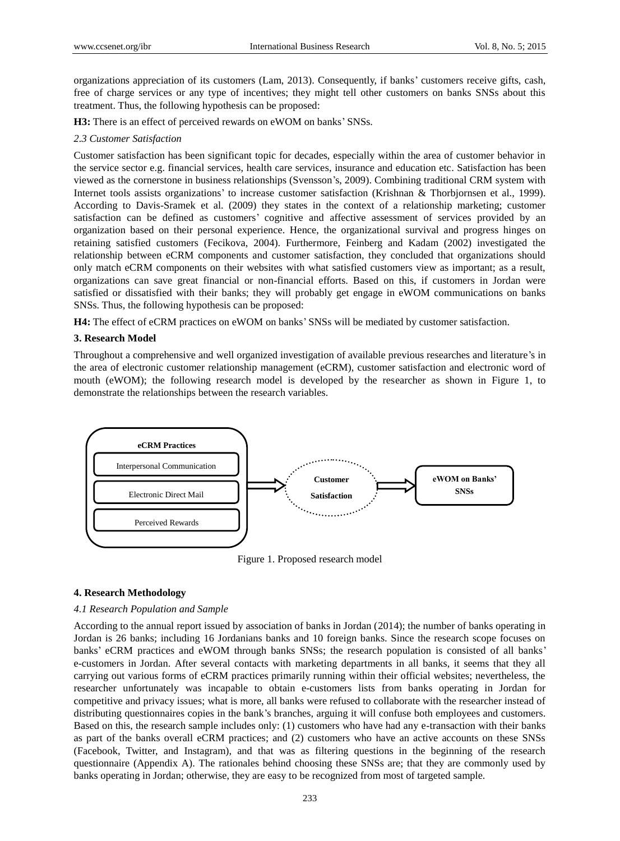organizations appreciation of its customers (Lam, 2013). Consequently, if banks' customers receive gifts, cash, free of charge services or any type of incentives; they might tell other customers on banks SNSs about this treatment. Thus, the following hypothesis can be proposed:

**H3:** There is an effect of perceived rewards on eWOM on banks' SNSs.

## *2.3 Customer Satisfaction*

Customer satisfaction has been significant topic for decades, especially within the area of customer behavior in the service sector e.g. financial services, health care services, insurance and education etc. Satisfaction has been viewed as the cornerstone in business relationships (Svensson's, 2009). Combining traditional CRM system with Internet tools assists organizations' to increase customer satisfaction (Krishnan & Thorbjornsen et al., 1999). According to Davis-Sramek et al. (2009) they states in the context of a relationship marketing; customer satisfaction can be defined as customers' cognitive and affective assessment of services provided by an organization based on their personal experience. Hence, the organizational survival and progress hinges on retaining satisfied customers (Fecikova, 2004). Furthermore, Feinberg and Kadam (2002) investigated the relationship between eCRM components and customer satisfaction, they concluded that organizations should only match eCRM components on their websites with what satisfied customers view as important; as a result, organizations can save great financial or non-financial efforts. Based on this, if customers in Jordan were satisfied or dissatisfied with their banks; they will probably get engage in eWOM communications on banks SNSs. Thus, the following hypothesis can be proposed:

**H4:** The effect of eCRM practices on eWOM on banks' SNSs will be mediated by customer satisfaction.

#### **3. Research Model**

Throughout a comprehensive and well organized investigation of available previous researches and literature's in the area of electronic customer relationship management (eCRM), customer satisfaction and electronic word of mouth (eWOM); the following research model is developed by the researcher as shown in Figure 1, to demonstrate the relationships between the research variables.



Figure 1. Proposed research model

## **4. Research Methodology**

#### *4.1 Research Population and Sample*

According to the annual report issued by association of banks in Jordan (2014); the number of banks operating in Jordan is 26 banks; including 16 Jordanians banks and 10 foreign banks. Since the research scope focuses on banks' eCRM practices and eWOM through banks SNSs; the research population is consisted of all banks' e-customers in Jordan. After several contacts with marketing departments in all banks, it seems that they all carrying out various forms of eCRM practices primarily running within their official websites; nevertheless, the researcher unfortunately was incapable to obtain e-customers lists from banks operating in Jordan for competitive and privacy issues; what is more, all banks were refused to collaborate with the researcher instead of distributing questionnaires copies in the bank's branches, arguing it will confuse both employees and customers. Based on this, the research sample includes only: (1) customers who have had any e-transaction with their banks as part of the banks overall eCRM practices; and (2) customers who have an active accounts on these SNSs (Facebook, Twitter, and Instagram), and that was as filtering questions in the beginning of the research questionnaire (Appendix A). The rationales behind choosing these SNSs are; that they are commonly used by banks operating in Jordan; otherwise, they are easy to be recognized from most of targeted sample.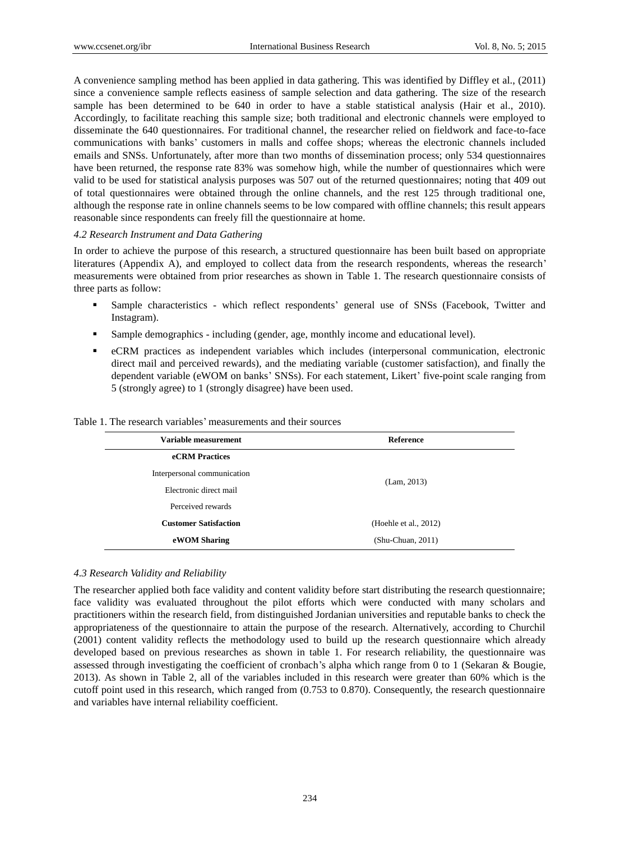A convenience sampling method has been applied in data gathering. This was identified by Diffley et al., (2011) since a convenience sample reflects easiness of sample selection and data gathering. The size of the research sample has been determined to be 640 in order to have a stable statistical analysis (Hair et al., 2010). Accordingly, to facilitate reaching this sample size; both traditional and electronic channels were employed to disseminate the 640 questionnaires. For traditional channel, the researcher relied on fieldwork and face-to-face communications with banks' customers in malls and coffee shops; whereas the electronic channels included emails and SNSs. Unfortunately, after more than two months of dissemination process; only 534 questionnaires have been returned, the response rate 83% was somehow high, while the number of questionnaires which were valid to be used for statistical analysis purposes was 507 out of the returned questionnaires; noting that 409 out of total questionnaires were obtained through the online channels, and the rest 125 through traditional one, although the response rate in online channels seems to be low compared with offline channels; this result appears reasonable since respondents can freely fill the questionnaire at home.

# *4.2 Research Instrument and Data Gathering*

In order to achieve the purpose of this research, a structured questionnaire has been built based on appropriate literatures (Appendix A), and employed to collect data from the research respondents, whereas the research' measurements were obtained from prior researches as shown in Table 1. The research questionnaire consists of three parts as follow:

- Sample characteristics which reflect respondents' general use of SNSs (Facebook, Twitter and Instagram).
- Sample demographics including (gender, age, monthly income and educational level).
- eCRM practices as independent variables which includes (interpersonal communication, electronic direct mail and perceived rewards), and the mediating variable (customer satisfaction), and finally the dependent variable (eWOM on banks' SNSs). For each statement, Likert' five-point scale ranging from 5 (strongly agree) to 1 (strongly disagree) have been used.

| Variable measurement         | <b>Reference</b>         |  |
|------------------------------|--------------------------|--|
| <b>eCRM</b> Practices        |                          |  |
| Interpersonal communication  |                          |  |
| Electronic direct mail       | (Lam, 2013)              |  |
| Perceived rewards            |                          |  |
| <b>Customer Satisfaction</b> | (Hoehle et al., $2012$ ) |  |
| eWOM Sharing                 | $(Shu-Chuan, 2011)$      |  |

## Table 1. The research variables' measurements and their sources

# *4.3 Research Validity and Reliability*

The researcher applied both face validity and content validity before start distributing the research questionnaire; face validity was evaluated throughout the pilot efforts which were conducted with many scholars and practitioners within the research field, from distinguished Jordanian universities and reputable banks to check the appropriateness of the questionnaire to attain the purpose of the research. Alternatively, according to Churchil (2001) content validity reflects the methodology used to build up the research questionnaire which already developed based on previous researches as shown in table 1. For research reliability, the questionnaire was assessed through investigating the coefficient of cronbach's alpha which range from 0 to 1 (Sekaran & Bougie, 2013). As shown in Table 2, all of the variables included in this research were greater than 60% which is the cutoff point used in this research, which ranged from (0.753 to 0.870). Consequently, the research questionnaire and variables have internal reliability coefficient.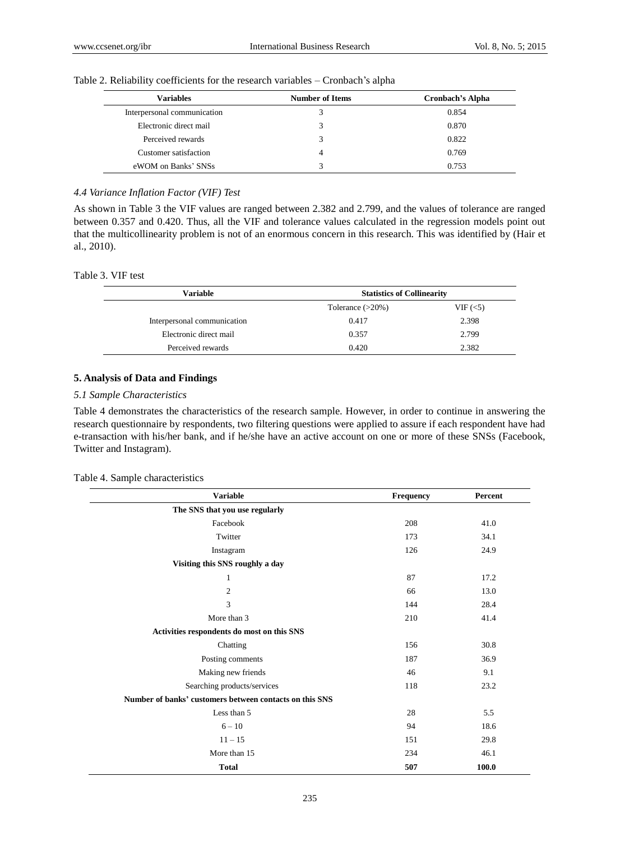| <b>Variables</b>            | <b>Number of Items</b> | <b>Cronbach's Alpha</b> |
|-----------------------------|------------------------|-------------------------|
| Interpersonal communication |                        | 0.854                   |
| Electronic direct mail      |                        | 0.870                   |
| Perceived rewards           | 2                      | 0.822                   |
| Customer satisfaction       |                        | 0.769                   |
| eWOM on Banks' SNSs         |                        | 0.753                   |

#### Table 2. Reliability coefficients for the research variables – Cronbach's alpha

# *4.4 Variance Inflation Factor (VIF) Test*

As shown in Table 3 the VIF values are ranged between 2.382 and 2.799, and the values of tolerance are ranged between 0.357 and 0.420. Thus, all the VIF and tolerance values calculated in the regression models point out that the multicollinearity problem is not of an enormous concern in this research. This was identified by (Hair et al., 2010).

# Table 3. VIF test

| Variable                    | <b>Statistics of Collinearity</b> |                          |
|-----------------------------|-----------------------------------|--------------------------|
|                             | Tolerance $(>20\%)$               | $VIF \left( < 5 \right)$ |
| Interpersonal communication | 0.417                             | 2.398                    |
| Electronic direct mail      | 0.357                             | 2.799                    |
| Perceived rewards           | 0.420                             | 2.382                    |

# **5. Analysis of Data and Findings**

## *5.1 Sample Characteristics*

Table 4 demonstrates the characteristics of the research sample. However, in order to continue in answering the research questionnaire by respondents, two filtering questions were applied to assure if each respondent have had e-transaction with his/her bank, and if he/she have an active account on one or more of these SNSs (Facebook, Twitter and Instagram).

| <b>Variable</b>                                         | Frequency | Percent |
|---------------------------------------------------------|-----------|---------|
| The SNS that you use regularly                          |           |         |
| Facebook                                                | 208       | 41.0    |
| Twitter                                                 | 173       | 34.1    |
| Instagram                                               | 126       | 24.9    |
| Visiting this SNS roughly a day                         |           |         |
| $\mathbf{1}$                                            | 87        | 17.2    |
| $\overline{c}$                                          | 66        | 13.0    |
| 3                                                       | 144       | 28.4    |
| More than 3                                             | 210       | 41.4    |
| Activities respondents do most on this SNS              |           |         |
| Chatting                                                | 156       | 30.8    |
| Posting comments                                        | 187       | 36.9    |
| Making new friends                                      | 46        | 9.1     |
| Searching products/services                             | 118       | 23.2    |
| Number of banks' customers between contacts on this SNS |           |         |
| Less than 5                                             | 28        | 5.5     |
| $6 - 10$                                                | 94        | 18.6    |
| $11 - 15$                                               | 151       | 29.8    |
| More than 15                                            | 234       | 46.1    |
| <b>Total</b>                                            | 507       | 100.0   |

#### Table 4. Sample characteristics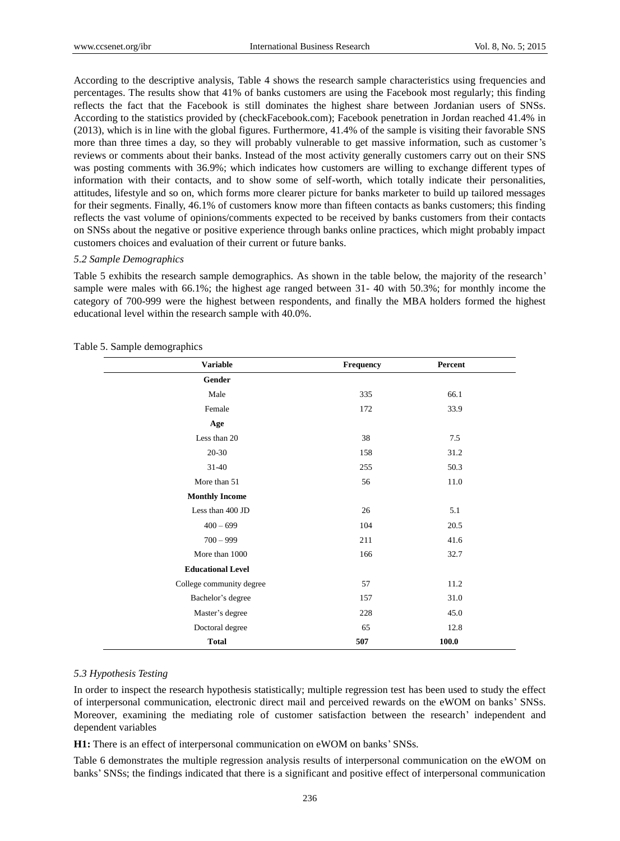According to the descriptive analysis, Table 4 shows the research sample characteristics using frequencies and percentages. The results show that 41% of banks customers are using the Facebook most regularly; this finding reflects the fact that the Facebook is still dominates the highest share between Jordanian users of SNSs. According to the statistics provided by [\(checkFacebook.com\)](http://www.checkfacebook.com/); Facebook penetration in Jordan reached 41.4% in (2013), which is in line with the global figures. Furthermore, 41.4% of the sample is visiting their favorable SNS more than three times a day, so they will probably vulnerable to get massive information, such as customer's reviews or comments about their banks. Instead of the most activity generally customers carry out on their SNS was posting comments with 36.9%; which indicates how customers are willing to exchange different types of information with their contacts, and to show some of self-worth, which totally indicate their personalities, attitudes, lifestyle and so on, which forms more clearer picture for banks marketer to build up tailored messages for their segments. Finally, 46.1% of customers know more than fifteen contacts as banks customers; this finding reflects the vast volume of opinions/comments expected to be received by banks customers from their contacts on SNSs about the negative or positive experience through banks online practices, which might probably impact customers choices and evaluation of their current or future banks.

## *5.2 Sample Demographics*

Table 5 exhibits the research sample demographics. As shown in the table below, the majority of the research' sample were males with 66.1%; the highest age ranged between 31- 40 with 50.3%; for monthly income the category of 700-999 were the highest between respondents, and finally the MBA holders formed the highest educational level within the research sample with 40.0%.

| <b>Variable</b>          | <b>Frequency</b> | Percent |  |
|--------------------------|------------------|---------|--|
| Gender                   |                  |         |  |
| Male                     | 335              | 66.1    |  |
| Female                   | 172              | 33.9    |  |
| Age                      |                  |         |  |
| Less than 20             | 38               | 7.5     |  |
| 20-30                    | 158              | 31.2    |  |
| 31-40                    | 255              | 50.3    |  |
| More than 51             | 56               | 11.0    |  |
| <b>Monthly Income</b>    |                  |         |  |
| Less than 400 JD         | 26               | 5.1     |  |
| $400 - 699$              | 104              | 20.5    |  |
| $700 - 999$              | 211              | 41.6    |  |
| More than 1000           | 166              | 32.7    |  |
| <b>Educational Level</b> |                  |         |  |
| College community degree | 57               | 11.2    |  |
| Bachelor's degree        | 157              | 31.0    |  |
| Master's degree          | 228              | 45.0    |  |
| Doctoral degree          | 65               | 12.8    |  |
| <b>Total</b>             | 507              | 100.0   |  |

Table 5. Sample demographics

## *5.3 Hypothesis Testing*

In order to inspect the research hypothesis statistically; multiple regression test has been used to study the effect of interpersonal communication, electronic direct mail and perceived rewards on the eWOM on banks' SNSs. Moreover, examining the mediating role of customer satisfaction between the research' independent and dependent variables

**H1:** There is an effect of interpersonal communication on eWOM on banks' SNSs.

Table 6 demonstrates the multiple regression analysis results of interpersonal communication on the eWOM on banks' SNSs; the findings indicated that there is a significant and positive effect of interpersonal communication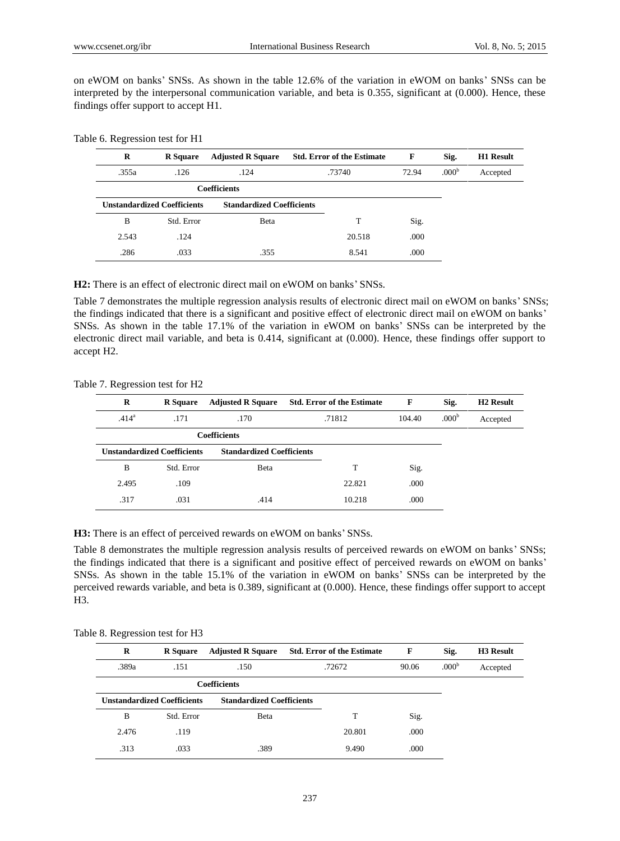on eWOM on banks' SNSs. As shown in the table 12.6% of the variation in eWOM on banks' SNSs can be interpreted by the interpersonal communication variable, and beta is 0.355, significant at (0.000). Hence, these findings offer support to accept H1.

Table 6. Regression test for H1

| R     | <b>R</b> Square                    | <b>Adjusted R Square</b>         | <b>Std. Error of the Estimate</b> | F     | Sig.              | <b>H1</b> Result |
|-------|------------------------------------|----------------------------------|-----------------------------------|-------|-------------------|------------------|
| .355a | .126                               | .124                             | .73740                            | 72.94 | .000 <sup>b</sup> | Accepted         |
|       |                                    | <b>Coefficients</b>              |                                   |       |                   |                  |
|       | <b>Unstandardized Coefficients</b> | <b>Standardized Coefficients</b> |                                   |       |                   |                  |
| B     | Std. Error                         | Beta                             | T                                 | Sig.  |                   |                  |
| 2.543 | .124                               |                                  | 20.518                            | .000  |                   |                  |
| .286  | .033                               | .355                             | 8.541                             | .000  |                   |                  |

**H2:** There is an effect of electronic direct mail on eWOM on banks' SNSs.

Table 7 demonstrates the multiple regression analysis results of electronic direct mail on eWOM on banks' SNSs; the findings indicated that there is a significant and positive effect of electronic direct mail on eWOM on banks' SNSs. As shown in the table 17.1% of the variation in eWOM on banks' SNSs can be interpreted by the electronic direct mail variable, and beta is 0.414, significant at (0.000). Hence, these findings offer support to accept H2.

Table 7. Regression test for H2

| R        | <b>R</b> Square                    | <b>Adjusted R Square</b>         | <b>Std. Error of the Estimate</b> | F      | Sig.              | <b>H2</b> Result |
|----------|------------------------------------|----------------------------------|-----------------------------------|--------|-------------------|------------------|
| $.414^a$ | .171                               | .170                             | .71812                            | 104.40 | .000 <sup>b</sup> | Accepted         |
|          | <b>Coefficients</b>                |                                  |                                   |        |                   |                  |
|          | <b>Unstandardized Coefficients</b> | <b>Standardized Coefficients</b> |                                   |        |                   |                  |
| B        | Std. Error                         | Beta                             | т                                 | Sig.   |                   |                  |
| 2.495    | .109                               |                                  | 22.821                            | .000   |                   |                  |
| .317     | .031                               | .414                             | 10.218                            | .000   |                   |                  |

**H3:** There is an effect of perceived rewards on eWOM on banks' SNSs.

Table 8 demonstrates the multiple regression analysis results of perceived rewards on eWOM on banks' SNSs; the findings indicated that there is a significant and positive effect of perceived rewards on eWOM on banks' SNSs. As shown in the table 15.1% of the variation in eWOM on banks' SNSs can be interpreted by the perceived rewards variable, and beta is 0.389, significant at (0.000). Hence, these findings offer support to accept H3.

| R     | <b>R</b> Square                    | <b>Adjusted R Square</b>         | <b>Std. Error of the Estimate</b> | F     | Sig.              | <b>H3</b> Result |
|-------|------------------------------------|----------------------------------|-----------------------------------|-------|-------------------|------------------|
| .389a | .151                               | .150                             | .72672                            | 90.06 | .000 <sup>b</sup> | Accepted         |
|       |                                    | <b>Coefficients</b>              |                                   |       |                   |                  |
|       | <b>Unstandardized Coefficients</b> | <b>Standardized Coefficients</b> |                                   |       |                   |                  |
| B     | Std. Error                         | Beta                             | T                                 | Sig.  |                   |                  |
| 2.476 | .119                               |                                  | 20.801                            | .000  |                   |                  |
| .313  | .033                               | .389                             | 9.490                             | .000  |                   |                  |

Table 8. Regression test for H3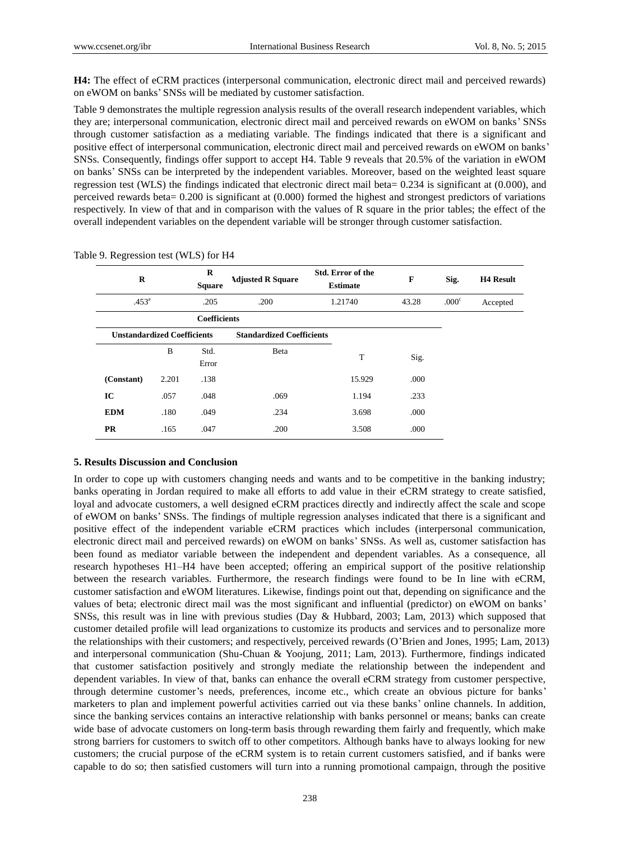**H4:** The effect of eCRM practices (interpersonal communication, electronic direct mail and perceived rewards) on eWOM on banks' SNSs will be mediated by customer satisfaction.

Table 9 demonstrates the multiple regression analysis results of the overall research independent variables, which they are; interpersonal communication, electronic direct mail and perceived rewards on eWOM on banks' SNSs through customer satisfaction as a mediating variable. The findings indicated that there is a significant and positive effect of interpersonal communication, electronic direct mail and perceived rewards on eWOM on banks' SNSs. Consequently, findings offer support to accept H4. Table 9 reveals that 20.5% of the variation in eWOM on banks' SNSs can be interpreted by the independent variables. Moreover, based on the weighted least square regression test (WLS) the findings indicated that electronic direct mail beta= 0.234 is significant at (0.000), and perceived rewards beta= 0.200 is significant at (0.000) formed the highest and strongest predictors of variations respectively. In view of that and in comparison with the values of R square in the prior tables; the effect of the overall independent variables on the dependent variable will be stronger through customer satisfaction.

| $\bf{R}$                           |       | $\bf{R}$<br><b>Square</b> | <b>Adjusted R Square</b>         | <b>Std. Error of the</b><br><b>Estimate</b> | $\mathbf F$ | Sig.              | <b>H4 Result</b> |
|------------------------------------|-------|---------------------------|----------------------------------|---------------------------------------------|-------------|-------------------|------------------|
| .453 <sup>a</sup>                  |       | .205                      | .200                             | 1.21740                                     | 43.28       | .000 <sup>c</sup> | Accepted         |
|                                    |       | <b>Coefficients</b>       |                                  |                                             |             |                   |                  |
| <b>Unstandardized Coefficients</b> |       |                           | <b>Standardized Coefficients</b> |                                             |             |                   |                  |
|                                    | B     | Std.<br>Error             | Beta                             | T                                           | Sig.        |                   |                  |
| (Constant)                         | 2.201 | .138                      |                                  | 15.929                                      | .000        |                   |                  |
| IC                                 | .057  | .048                      | .069                             | 1.194                                       | .233        |                   |                  |
| <b>EDM</b>                         | .180  | .049                      | .234                             | 3.698                                       | .000        |                   |                  |
| <b>PR</b>                          | .165  | .047                      | .200                             | 3.508                                       | .000        |                   |                  |

Table 9. Regression test (WLS) for H4

#### **5. Results Discussion and Conclusion**

In order to cope up with customers changing needs and wants and to be competitive in the banking industry; banks operating in Jordan required to make all efforts to add value in their eCRM strategy to create satisfied, loyal and advocate customers, a well designed eCRM practices directly and indirectly affect the scale and scope of eWOM on banks' SNSs. The findings of multiple regression analyses indicated that there is a significant and positive effect of the independent variable eCRM practices which includes (interpersonal communication, electronic direct mail and perceived rewards) on eWOM on banks' SNSs. As well as, customer satisfaction has been found as mediator variable between the independent and dependent variables. As a consequence, all research hypotheses H1–H4 have been accepted; offering an empirical support of the positive relationship between the research variables. Furthermore, the research findings were found to be In line with eCRM, customer satisfaction and eWOM literatures. Likewise, findings point out that, depending on significance and the values of beta; electronic direct mail was the most significant and influential (predictor) on eWOM on banks' SNSs, this result was in line with previous studies (Day & Hubbard, 2003; Lam, 2013) which supposed that customer detailed profile will lead organizations to customize its products and services and to personalize more the relationships with their customers; and respectively, perceived rewards (O'Brien and Jones, 1995; Lam, 2013) and interpersonal communication (Shu-Chuan & Yoojung, 2011; Lam, 2013). Furthermore, findings indicated that customer satisfaction positively and strongly mediate the relationship between the independent and dependent variables. In view of that, banks can enhance the overall eCRM strategy from customer perspective, through determine customer's needs, preferences, income etc., which create an obvious picture for banks' marketers to plan and implement powerful activities carried out via these banks' online channels. In addition, since the banking services contains an interactive relationship with banks personnel or means; banks can create wide base of advocate customers on long-term basis through rewarding them fairly and frequently, which make strong barriers for customers to switch off to other competitors. Although banks have to always looking for new customers; the crucial purpose of the eCRM system is to retain current customers satisfied, and if banks were capable to do so; then satisfied customers will turn into a running promotional campaign, through the positive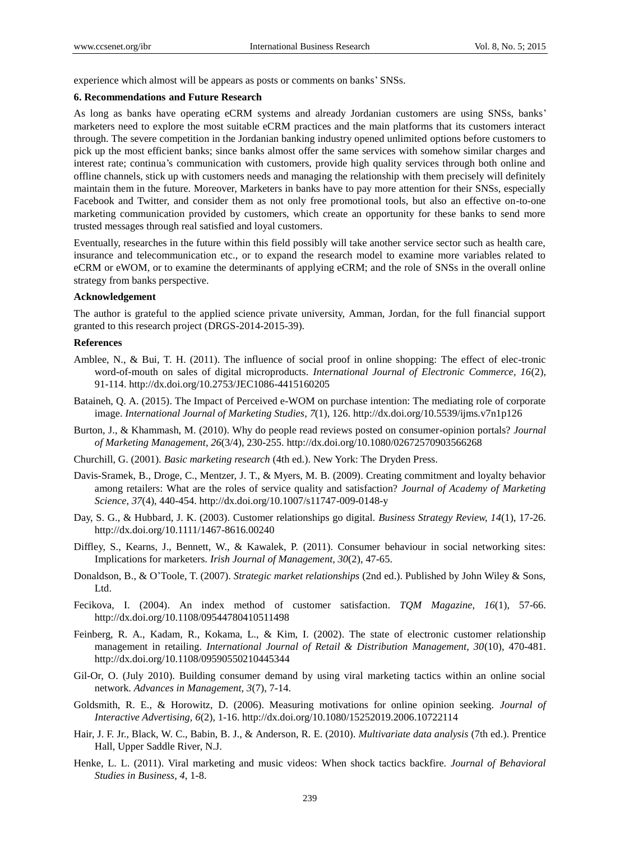experience which almost will be appears as posts or comments on banks' SNSs.

#### **6. Recommendations and Future Research**

As long as banks have operating eCRM systems and already Jordanian customers are using SNSs, banks' marketers need to explore the most suitable eCRM practices and the main platforms that its customers interact through. The severe competition in the Jordanian banking industry opened unlimited options before customers to pick up the most efficient banks; since banks almost offer the same services with somehow similar charges and interest rate; continua's communication with customers, provide high quality services through both online and offline channels, stick up with customers needs and managing the relationship with them precisely will definitely maintain them in the future. Moreover, Marketers in banks have to pay more attention for their SNSs, especially Facebook and Twitter, and consider them as not only free promotional tools, but also an effective on-to-one marketing communication provided by customers, which create an opportunity for these banks to send more trusted messages through real satisfied and loyal customers.

Eventually, researches in the future within this field possibly will take another service sector such as health care, insurance and telecommunication etc., or to expand the research model to examine more variables related to eCRM or eWOM, or to examine the determinants of applying eCRM; and the role of SNSs in the overall online strategy from banks perspective.

## **Acknowledgement**

The author is grateful to the applied science private university, Amman, Jordan, for the full financial support granted to this research project (DRGS-2014-2015-39).

## **References**

- Amblee, N., & Bui, T. H. (2011). The influence of social proof in online shopping: The effect of elec-tronic word-of-mouth on sales of digital microproducts. *International Journal of Electronic Commerce, 16*(2), 91-114. http://dx.doi.org/10.2753/JEC1086-4415160205
- Bataineh, Q. A. (2015). The Impact of Perceived e-WOM on purchase intention: The mediating role of corporate image. *International Journal of Marketing Studies, 7*(1), 126. http://dx.doi.org/10.5539/ijms.v7n1p126
- Burton, J., & Khammash, M. (2010). Why do people read reviews posted on consumer-opinion portals? *Journal of Marketing Management, 26*(3/4), 230-255. http://dx.doi.org/10.1080/02672570903566268
- Churchill, G. (2001). *Basic marketing research* (4th ed.). New York: The Dryden Press.
- Davis-Sramek, B., Droge, C., Mentzer, J. T., & Myers, M. B. (2009). Creating commitment and loyalty behavior among retailers: What are the roles of service quality and satisfaction? *Journal of Academy of Marketing Science, 37*(4), 440-454. http://dx.doi.org/10.1007/s11747-009-0148-y
- Day, S. G., & Hubbard, J. K. (2003). Customer relationships go digital. *Business Strategy Review, 14*(1), 17-26. http://dx.doi.org/10.1111/1467-8616.00240
- Diffley, S., Kearns, J., Bennett, W., & Kawalek, P. (2011). Consumer behaviour in social networking sites: Implications for marketers. *Irish Journal of Management, 30*(2), 47-65.
- Donaldson, B., & O'Toole, T. (2007). *Strategic market relationships* (2nd ed.). Published by John Wiley & Sons, Ltd.
- Fecikova, I. (2004). An index method of customer satisfaction. *TQM Magazine, 16*(1), 57-66. http://dx.doi.org/10.1108/09544780410511498
- Feinberg, R. A., Kadam, R., Kokama, L., & Kim, I. (2002). The state of electronic customer relationship management in retailing. *International Journal of Retail & Distribution Management, 30*(10), 470-481. http://dx.doi.org/10.1108/09590550210445344
- Gil-Or, O. (July 2010). Building consumer demand by using viral marketing tactics within an online social network. *Advances in Management, 3*(7), 7-14.
- Goldsmith, R. E., & Horowitz, D. (2006). Measuring motivations for online opinion seeking. *Journal of Interactive Advertising, 6*(2), 1-16. http://dx.doi.org/10.1080/15252019.2006.10722114
- Hair, J. F. Jr., Black, W. C., Babin, B. J., & Anderson, R. E. (2010). *Multivariate data analysis* (7th ed.). Prentice Hall, Upper Saddle River, N.J.
- Henke, L. L. (2011). Viral marketing and music videos: When shock tactics backfire. *Journal of Behavioral Studies in Business, 4*, 1-8.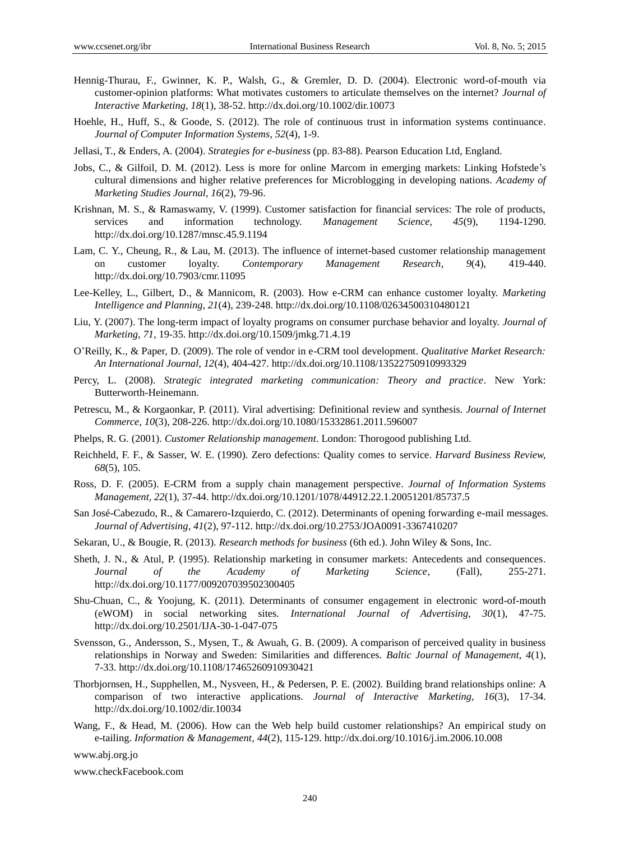- Hennig-Thurau, F., Gwinner, K. P., Walsh, G., & Gremler, D. D. (2004). Electronic word-of-mouth via customer-opinion platforms: What motivates customers to articulate themselves on the internet? *Journal of Interactive Marketing, 18*(1), 38-52. http://dx.doi.org/10.1002/dir.10073
- Hoehle, H., Huff, S., & Goode, S. (2012). The role of continuous trust in information systems continuance. *Journal of Computer Information Systems, 52*(4), 1-9.
- Jellasi, T., & Enders, A. (2004). *Strategies for e-business* (pp. 83-88). Pearson Education Ltd, England.
- Jobs, C., & Gilfoil, D. M. (2012). Less is more for online Marcom in emerging markets: Linking Hofstede's cultural dimensions and higher relative preferences for Microblogging in developing nations. *Academy of Marketing Studies Journal, 16*(2), 79-96.
- Krishnan, M. S., & Ramaswamy, V. (1999). Customer satisfaction for financial services: The role of products, services and information technology. *Management Science, 45*(9), 1194-1290. http://dx.doi.org/10.1287/mnsc.45.9.1194
- Lam, C. Y., Cheung, R., & Lau, M. (2013). The influence of internet-based customer relationship management on customer loyalty. *Contemporary Management Research, 9*(4), 419-440. http://dx.doi.org/10.7903/cmr.11095
- Lee-Kelley, L., Gilbert, D., & Mannicom, R. (2003). How e-CRM can enhance customer loyalty. *Marketing Intelligence and Planning, 21*(4), 239-248. http://dx.doi.org/10.1108/02634500310480121
- Liu, Y. (2007). The long-term impact of loyalty programs on consumer purchase behavior and loyalty. *Journal of Marketing, 71*, 19-35. http://dx.doi.org/10.1509/jmkg.71.4.19
- O'Reilly, K., & Paper, D. (2009). The role of vendor in e-CRM tool development. *Qualitative Market Research: An International Journal, 12*(4), 404-427. http://dx.doi.org/10.1108/13522750910993329
- Percy, L. (2008). *Strategic integrated marketing communication: Theory and practice*. New York: Butterworth-Heinemann.
- Petrescu, M., & Korgaonkar, P. (2011). Viral advertising: Definitional review and synthesis. *Journal of Internet Commerce, 10*(3), 208-226. http://dx.doi.org/10.1080/15332861.2011.596007
- Phelps, R. G. (2001). *Customer Relationship management*. London: Thorogood publishing Ltd.
- Reichheld, F. F., & Sasser, W. E. (1990). Zero defections: Quality comes to service. *Harvard Business Review, 68*(5), 105.
- Ross, D. F. (2005). E-CRM from a supply chain management perspective. *Journal of Information Systems Management, 22*(1), 37-44. http://dx.doi.org/10.1201/1078/44912.22.1.20051201/85737.5
- San José-Cabezudo, R., & Camarero-Izquierdo, C. (2012). Determinants of opening forwarding e-mail messages. *Journal of Advertising, 41*(2), 97-112. http://dx.doi.org/10.2753/JOA0091-3367410207
- Sekaran, U., & Bougie, R. (2013). *Research methods for business* (6th ed.). John Wiley & Sons, Inc.
- Sheth, J. N., & Atul, P. (1995). Relationship marketing in consumer markets: Antecedents and consequences. *Journal of the Academy of Marketing Science*, (Fall), 255-271. http://dx.doi.org/10.1177/009207039502300405
- Shu-Chuan, C., & Yoojung, K. (2011). Determinants of consumer engagement in electronic word-of-mouth (eWOM) in social networking sites. *International Journal of Advertising, 30*(1), 47-75. http://dx.doi.org/10.2501/IJA-30-1-047-075
- Svensson, G., Andersson, S., Mysen, T., & Awuah, G. B. (2009). A comparison of perceived quality in business relationships in Norway and Sweden: Similarities and differences. *Baltic Journal of Management, 4*(1), 7-33. http://dx.doi.org/10.1108/17465260910930421
- Thorbjornsen, H., Supphellen, M., Nysveen, H., & Pedersen, P. E. (2002). Building brand relationships online: A comparison of two interactive applications. *Journal of Interactive Marketing, 16*(3), 17-34. http://dx.doi.org/10.1002/dir.10034
- Wang, F., & Head, M. (2006). How can the Web help build customer relationships? An empirical study on e-tailing. *Information & Management, 44*(2), 115-129. http://dx.doi.org/10.1016/j.im.2006.10.008

www.abj.org.jo

www.checkFacebook.com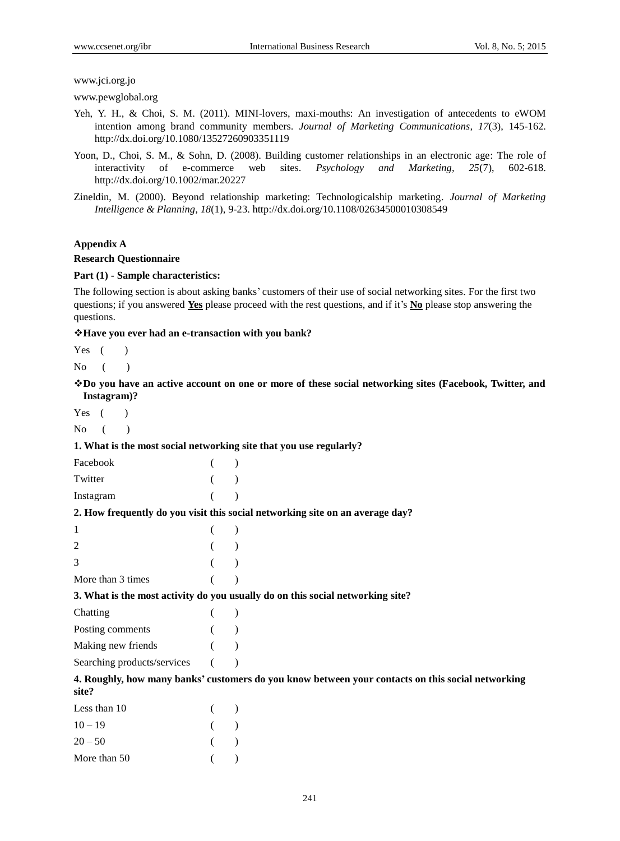## www.jci.org.jo

www.pewglobal.org

- Yeh, Y. H., & Choi, S. M. (2011). MINI-lovers, maxi-mouths: An investigation of antecedents to eWOM intention among brand community members. *Journal of Marketing Communications, 17*(3), 145-162. http://dx.doi.org/10.1080/13527260903351119
- Yoon, D., Choi, S. M., & Sohn, D. (2008). Building customer relationships in an electronic age: The role of interactivity of e-commerce web sites. *Psychology and Marketing, 25*(7), 602-618. http://dx.doi.org/10.1002/mar.20227
- Zineldin, M. (2000). Beyond relationship marketing: Technologicalship marketing. *Journal of Marketing Intelligence & Planning, 18*(1), 9-23. http://dx.doi.org/10.1108/02634500010308549

## **Appendix A**

#### **Research Questionnaire**

## **Part (1) - Sample characteristics:**

The following section is about asking banks' customers of their use of social networking sites. For the first two questions; if you answered **Yes** please proceed with the rest questions, and if it's **No** please stop answering the questions.

**Have you ever had an e-transaction with you bank?**

Yes  $($ )

 $No$  ( )

**Do you have an active account on one or more of these social networking sites (Facebook, Twitter, and Instagram)?**

Yes  $($ )

 $No \t( )$ 

## **1. What is the most social networking site that you use regularly?**

| Facebook  |  |
|-----------|--|
| Twitter   |  |
| Instagram |  |

#### **2. How frequently do you visit this social networking site on an average day?**

|                             | $\sqrt{2}$ |  |
|-----------------------------|------------|--|
| $\mathcal{D}_{\mathcal{L}}$ | (          |  |
| 3                           | $\sqrt{2}$ |  |
| More than 3 times           | $\left($   |  |

#### **3. What is the most activity do you usually do on this social networking site?**

| Chatting                    |  |
|-----------------------------|--|
| Posting comments            |  |
| Making new friends          |  |
| Searching products/services |  |

# **4. Roughly, how many banks' customers do you know between your contacts on this social networking site?**

| Less than 10 |            |  |
|--------------|------------|--|
| $10 - 19$    | $\sqrt{2}$ |  |
| $20 - 50$    | $\sqrt{2}$ |  |
| More than 50 |            |  |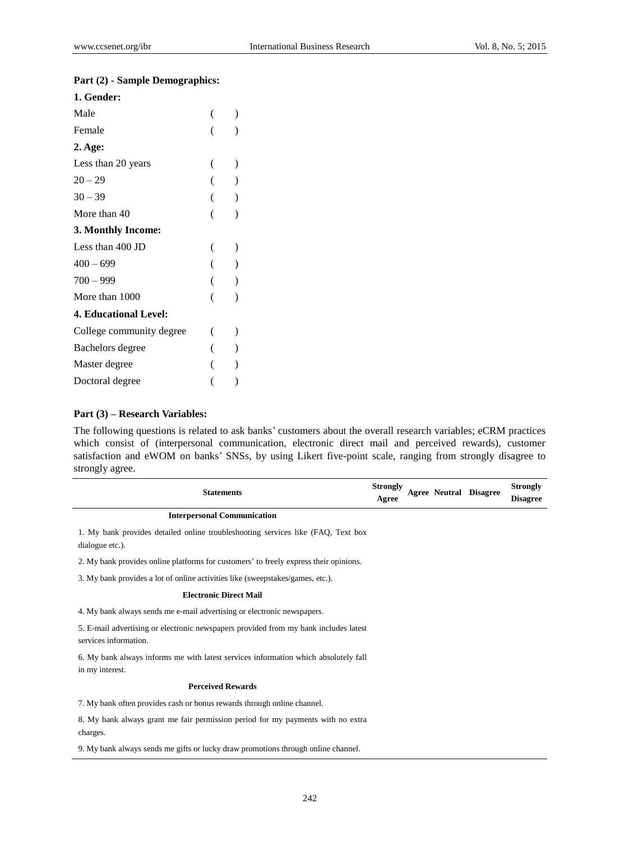# **Part (2) - Sample Demographics:**

| 1. Gender:                   |  |
|------------------------------|--|
| Male                         |  |
| Female                       |  |
| $2. \text{Age:}$             |  |
| Less than 20 years           |  |
| $20 - 29$                    |  |
| $30 - 39$                    |  |
| More than 40                 |  |
| 3. Monthly Income:           |  |
| Less than 400 JD             |  |
| $400 - 699$                  |  |
| $700 - 999$                  |  |
| More than 1000               |  |
| <b>4. Educational Level:</b> |  |
| College community degree     |  |
| Bachelors degree             |  |
| Master degree                |  |
| Doctoral degree              |  |

# **Part (3) – Research Variables:**

The following questions is related to ask banks' customers about the overall research variables; eCRM practices which consist of (interpersonal communication, electronic direct mail and perceived rewards), customer satisfaction and eWOM on banks' SNSs, by using Likert five-point scale, ranging from strongly disagree to strongly agree.

| <b>Statements</b>                                                                                             | <b>Strongly</b><br>Agree |  | <b>Agree Neutral Disagree</b> | <b>Strongly</b><br><b>Disagree</b> |
|---------------------------------------------------------------------------------------------------------------|--------------------------|--|-------------------------------|------------------------------------|
| <b>Interpersonal Communication</b>                                                                            |                          |  |                               |                                    |
| 1. My bank provides detailed online troubleshooting services like (FAQ, Text box<br>dialogue etc.).           |                          |  |                               |                                    |
| 2. My bank provides online platforms for customers' to freely express their opinions.                         |                          |  |                               |                                    |
| 3. My bank provides a lot of online activities like (sweepstakes/games, etc.).                                |                          |  |                               |                                    |
| <b>Electronic Direct Mail</b>                                                                                 |                          |  |                               |                                    |
| 4. My bank always sends me e-mail advertising or electronic newspapers.                                       |                          |  |                               |                                    |
| 5. E-mail advertising or electronic newspapers provided from my bank includes latest<br>services information. |                          |  |                               |                                    |
| 6. My bank always informs me with latest services information which absolutely fall<br>in my interest.        |                          |  |                               |                                    |
| <b>Perceived Rewards</b>                                                                                      |                          |  |                               |                                    |
| 7. My bank often provides cash or bonus rewards through online channel.                                       |                          |  |                               |                                    |
| 8. My bank always grant me fair permission period for my payments with no extra<br>charges.                   |                          |  |                               |                                    |
| 9. My bank always sends me gifts or lucky draw promotions through online channel.                             |                          |  |                               |                                    |